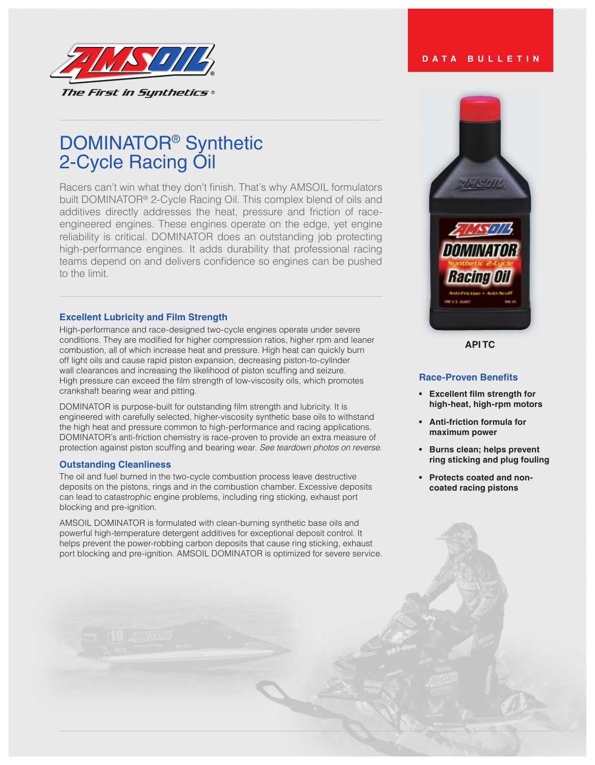

#### **DATA BULLETIN**

# DOMINATOR® Synthetic 2-Cycle Racing Oil

Racers can't win what they don't finish. That's why AMSOIL formulators built DOMINATOR® 2-Cycle Racing Oil. This complex blend of oils and additives directly addresses the heat, pressure and friction of raceengineered engines. These engines operate on the edge, yet engine reliability is critical. DOMINATOR does an outstanding job protecting high-performance engines. It adds durability that professional racing teams depend on and delivers confidence so engines can be pushed to the limit.

#### **Excellent Lubricity and Film Strength**

High-performance and race-designed two-cycle engines operate under severe conditions. They are modified for higher compression ratios, higher rpm and leaner combustion, all of which increase heat and pressure. High heat can quickly burn off light oils and cause rapid piston expansion, decreasing piston-to-cylinder wall clearances and increasing the likelihood of piston scuffing and seizure. High pressure can exceed the film strength of low-viscosity oils, which promotes crankshaft bearing wear and pitting.

DOMINATOR is purpose-built for outstanding film strength and lubricity. It is engineered with carefully selected, higher-viscosity synthetic base oils to withstand the high heat and pressure common to high-performance and racing applications. DOMINATOR's anti-friction chemistry is race-proven to provide an extra measure of protection against piston scuffing and bearing wear. *See teardown photos on reverse.*

#### **Outstanding Cleanliness**

The oil and fuel burned in the two-cycle combustion process leave destructive deposits on the pistons, rings and in the combustion chamber. Excessive deposits can lead to catastrophic engine problems, including ring sticking, exhaust port blocking and pre-ignition.

AMSOIL DOMINATOR is formulated with clean-burning synthetic base oils and powerful high-temperature detergent additives for exceptional deposit control. It helps prevent the power-robbing carbon deposits that cause ring sticking, exhaust port blocking and pre-ignition. AMSOIL DOMINATOR is optimized for severe service.



**API TC**

## **Race-Proven Benefits**

- **• Excellent film strength for high-heat, high-rpm motors**
- **• Anti-friction formula for maximum power**
- **• Burns clean; helps prevent ring sticking and plug fouling**
- **• Protects coated and noncoated racing pistons**